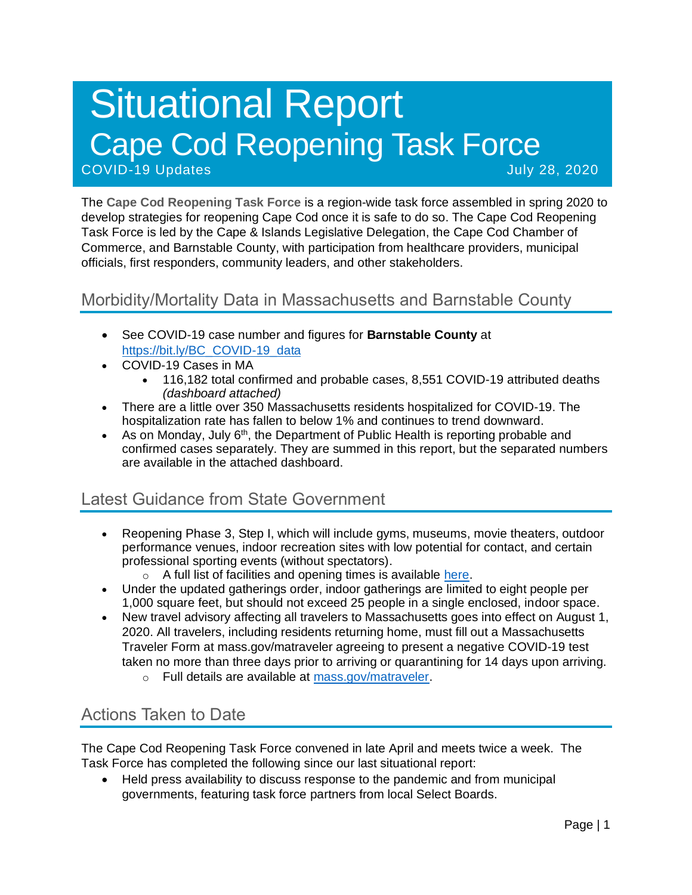# Situational Report Cape Cod Reopening Task Force COVID-19 Updates and Covid-19 Updates July 28, 2020

The **Cape Cod Reopening Task Force** is a region-wide task force assembled in spring 2020 to develop strategies for reopening Cape Cod once it is safe to do so. The Cape Cod Reopening Task Force is led by the Cape & Islands Legislative Delegation, the Cape Cod Chamber of Commerce, and Barnstable County, with participation from healthcare providers, municipal officials, first responders, community leaders, and other stakeholders.

#### Morbidity/Mortality Data in Massachusetts and Barnstable County

- See COVID-19 case number and figures for **Barnstable County** at [https://bit.ly/BC\\_COVID-19\\_data](https://bit.ly/BC_COVID-19_data)
- COVID-19 Cases in MA
	- 116,182 total confirmed and probable cases, 8,551 COVID-19 attributed deaths *(dashboard attached)*
- There are a little over 350 Massachusetts residents hospitalized for COVID-19. The hospitalization rate has fallen to below 1% and continues to trend downward.
- As on Monday, July 6<sup>th</sup>, the Department of Public Health is reporting probable and confirmed cases separately. They are summed in this report, but the separated numbers are available in the attached dashboard.

## Latest Guidance from State Government

- Reopening Phase 3, Step I, which will include gyms, museums, movie theaters, outdoor performance venues, indoor recreation sites with low potential for contact, and certain professional sporting events (without spectators).
	- o A full list of facilities and opening times is available [here.](https://www.mass.gov/info-details/reopening-when-can-my-business-reopen)
- Under the updated gatherings order, indoor gatherings are limited to eight people per 1,000 square feet, but should not exceed 25 people in a single enclosed, indoor space.
- New travel advisory affecting all travelers to Massachusetts goes into effect on August 1, 2020. All travelers, including residents returning home, must fill out a Massachusetts Traveler Form at mass.gov/matraveler agreeing to present a negative COVID-19 test taken no more than three days prior to arriving or quarantining for 14 days upon arriving.
	- o Full details are available at [mass.gov/matraveler.](http://mass.gov/matraveler)

### Actions Taken to Date

The Cape Cod Reopening Task Force convened in late April and meets twice a week. The Task Force has completed the following since our last situational report:

• Held press availability to discuss response to the pandemic and from municipal governments, featuring task force partners from local Select Boards.